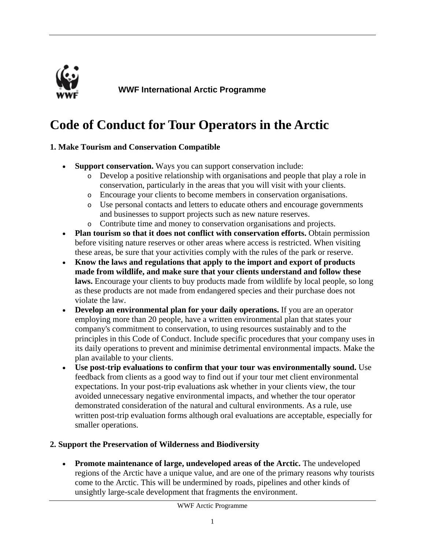

**WWF International Arctic Programme**

# **Code of Conduct for Tour Operators in the Arctic**

#### **1. Make Tourism and Conservation Compatible**

- **Support conservation.** Ways you can support conservation include:
	- o Develop a positive relationship with organisations and people that play a role in conservation, particularly in the areas that you will visit with your clients.
	- o Encourage your clients to become members in conservation organisations.
	- o Use personal contacts and letters to educate others and encourage governments and businesses to support projects such as new nature reserves.
	- o Contribute time and money to conservation organisations and projects.
- **Plan tourism so that it does not conflict with conservation efforts.** Obtain permission before visiting nature reserves or other areas where access is restricted. When visiting these areas, be sure that your activities comply with the rules of the park or reserve.
- **Know the laws and regulations that apply to the import and export of products made from wildlife, and make sure that your clients understand and follow these**  laws. Encourage your clients to buy products made from wildlife by local people, so long as these products are not made from endangered species and their purchase does not violate the law.
- **Develop an environmental plan for your daily operations.** If you are an operator employing more than 20 people, have a written environmental plan that states your company's commitment to conservation, to using resources sustainably and to the principles in this Code of Conduct. Include specific procedures that your company uses in its daily operations to prevent and minimise detrimental environmental impacts. Make the plan available to your clients.
- **Use post-trip evaluations to confirm that your tour was environmentally sound.** Use feedback from clients as a good way to find out if your tour met client environmental expectations. In your post-trip evaluations ask whether in your clients view, the tour avoided unnecessary negative environmental impacts, and whether the tour operator demonstrated consideration of the natural and cultural environments. As a rule, use written post-trip evaluation forms although oral evaluations are acceptable, especially for smaller operations.

#### **2. Support the Preservation of Wilderness and Biodiversity**

• **Promote maintenance of large, undeveloped areas of the Arctic.** The undeveloped regions of the Arctic have a unique value, and are one of the primary reasons why tourists come to the Arctic. This will be undermined by roads, pipelines and other kinds of unsightly large-scale development that fragments the environment.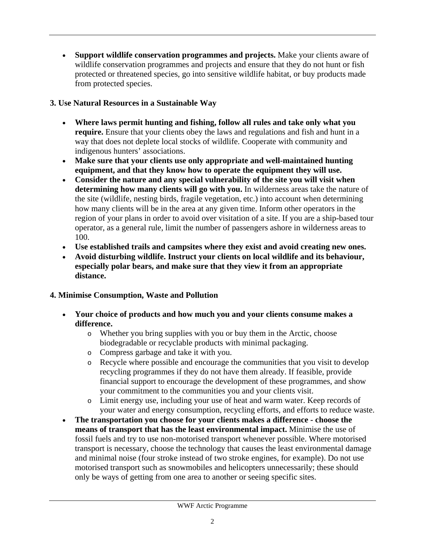• **Support wildlife conservation programmes and projects.** Make your clients aware of wildlife conservation programmes and projects and ensure that they do not hunt or fish protected or threatened species, go into sensitive wildlife habitat, or buy products made from protected species.

# **3. Use Natural Resources in a Sustainable Way**

- **Where laws permit hunting and fishing, follow all rules and take only what you require.** Ensure that your clients obey the laws and regulations and fish and hunt in a way that does not deplete local stocks of wildlife. Cooperate with community and indigenous hunters' associations.
- **Make sure that your clients use only appropriate and well-maintained hunting equipment, and that they know how to operate the equipment they will use.**
- **Consider the nature and any special vulnerability of the site you will visit when determining how many clients will go with you.** In wilderness areas take the nature of the site (wildlife, nesting birds, fragile vegetation, etc.) into account when determining how many clients will be in the area at any given time. Inform other operators in the region of your plans in order to avoid over visitation of a site. If you are a ship-based tour operator, as a general rule, limit the number of passengers ashore in wilderness areas to 100.
- **Use established trails and campsites where they exist and avoid creating new ones.**
- **Avoid disturbing wildlife. Instruct your clients on local wildlife and its behaviour, especially polar bears, and make sure that they view it from an appropriate distance.**

# **4. Minimise Consumption, Waste and Pollution**

- **Your choice of products and how much you and your clients consume makes a difference.**
	- o Whether you bring supplies with you or buy them in the Arctic, choose biodegradable or recyclable products with minimal packaging.
	- o Compress garbage and take it with you.
	- o Recycle where possible and encourage the communities that you visit to develop recycling programmes if they do not have them already. If feasible, provide financial support to encourage the development of these programmes, and show your commitment to the communities you and your clients visit.
	- o Limit energy use, including your use of heat and warm water. Keep records of your water and energy consumption, recycling efforts, and efforts to reduce waste.
- **The transportation you choose for your clients makes a difference choose the means of transport that has the least environmental impact.** Minimise the use of fossil fuels and try to use non-motorised transport whenever possible. Where motorised transport is necessary, choose the technology that causes the least environmental damage and minimal noise (four stroke instead of two stroke engines, for example). Do not use motorised transport such as snowmobiles and helicopters unnecessarily; these should only be ways of getting from one area to another or seeing specific sites.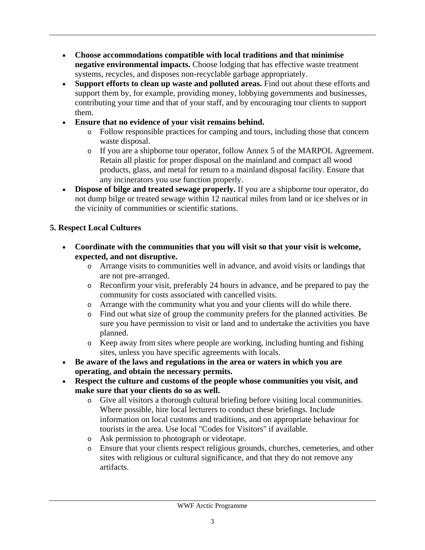- **Choose accommodations compatible with local traditions and that minimise negative environmental impacts.** Choose lodging that has effective waste treatment systems, recycles, and disposes non-recyclable garbage appropriately.
- **Support efforts to clean up waste and polluted areas.** Find out about these efforts and support them by, for example, providing money, lobbying governments and businesses, contributing your time and that of your staff, and by encouraging tour clients to support them.
- **Ensure that no evidence of your visit remains behind.**
	- o Follow responsible practices for camping and tours, including those that concern waste disposal.
	- o If you are a shipborne tour operator, follow Annex 5 of the MARPOL Agreement. Retain all plastic for proper disposal on the mainland and compact all wood products, glass, and metal for return to a mainland disposal facility. Ensure that any incinerators you use function properly.
- **Dispose of bilge and treated sewage properly.** If you are a shipborne tour operator, do not dump bilge or treated sewage within 12 nautical miles from land or ice shelves or in the vicinity of communities or scientific stations.

# **5. Respect Local Cultures**

- **Coordinate with the communities that you will visit so that your visit is welcome, expected, and not disruptive.**
	- o Arrange visits to communities well in advance, and avoid visits or landings that are not pre-arranged.
	- o Reconfirm your visit, preferably 24 hours in advance, and be prepared to pay the community for costs associated with cancelled visits.
	- o Arrange with the community what you and your clients will do while there.
	- o Find out what size of group the community prefers for the planned activities. Be sure you have permission to visit or land and to undertake the activities you have planned.
	- o Keep away from sites where people are working, including hunting and fishing sites, unless you have specific agreements with locals.
- **Be aware of the laws and regulations in the area or waters in which you are operating, and obtain the necessary permits.**
- **Respect the culture and customs of the people whose communities you visit, and make sure that your clients do so as well.**
	- o Give all visitors a thorough cultural briefing before visiting local communities. Where possible, hire local lecturers to conduct these briefings. Include information on local customs and traditions, and on appropriate behaviour for tourists in the area. Use local "Codes for Visitors" if available.
	- o Ask permission to photograph or videotape.
	- o Ensure that your clients respect religious grounds, churches, cemeteries, and other sites with religious or cultural significance, and that they do not remove any artifacts.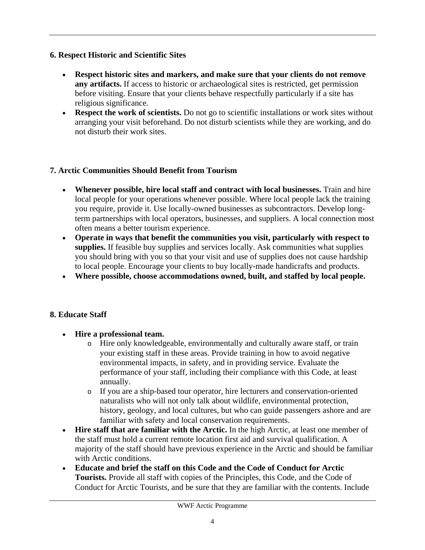#### **6. Respect Historic and Scientific Sites**

- **Respect historic sites and markers, and make sure that your clients do not remove any artifacts.** If access to historic or archaeological sites is restricted, get permission before visiting. Ensure that your clients behave respectfully particularly if a site has religious significance.
- **Respect the work of scientists.** Do not go to scientific installations or work sites without arranging your visit beforehand. Do not disturb scientists while they are working, and do not disturb their work sites.

## **7. Arctic Communities Should Benefit from Tourism**

- **Whenever possible, hire local staff and contract with local businesses.** Train and hire local people for your operations whenever possible. Where local people lack the training you require, provide it. Use locally-owned businesses as subcontractors. Develop longterm partnerships with local operators, businesses, and suppliers. A local connection most often means a better tourism experience.
- **Operate in ways that benefit the communities you visit, particularly with respect to**  supplies. If feasible buy supplies and services locally. Ask communities what supplies you should bring with you so that your visit and use of supplies does not cause hardship to local people. Encourage your clients to buy locally-made handicrafts and products.
- **Where possible, choose accommodations owned, built, and staffed by local people.**

#### **8. Educate Staff**

- **Hire a professional team.**
	- o Hire only knowledgeable, environmentally and culturally aware staff, or train your existing staff in these areas. Provide training in how to avoid negative environmental impacts, in safety, and in providing service. Evaluate the performance of your staff, including their compliance with this Code, at least annually.
	- o If you are a ship-based tour operator, hire lecturers and conservation-oriented naturalists who will not only talk about wildlife, environmental protection, history, geology, and local cultures, but who can guide passengers ashore and are familiar with safety and local conservation requirements.
- **Hire staff that are familiar with the Arctic.** In the high Arctic, at least one member of the staff must hold a current remote location first aid and survival qualification. A majority of the staff should have previous experience in the Arctic and should be familiar with Arctic conditions.
- **Educate and brief the staff on this Code and the Code of Conduct for Arctic Tourists.** Provide all staff with copies of the Principles, this Code, and the Code of Conduct for Arctic Tourists, and be sure that they are familiar with the contents. Include